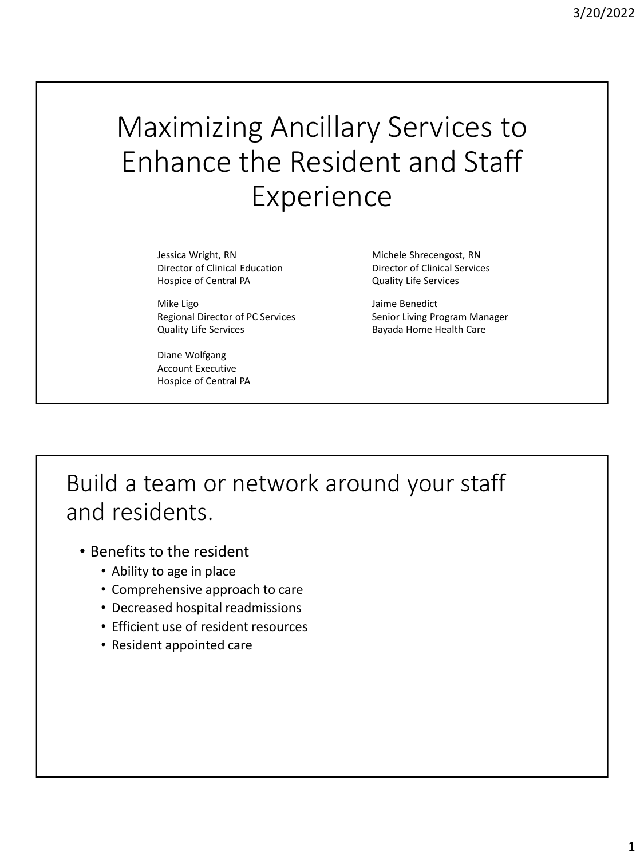# Maximizing Ancillary Services to Enhance the Resident and Staff Experience

Jessica Wright, RN Michele Shrecengost, RN Director of Clinical Education Director of Clinical Services Hospice of Central PA Quality Life Services

Mike Ligo **Accord Contract Contract Accord Contract Contract Accord Contract Contract Accord Contract Accord Contract Accord Contract Accord Contract Accord Contract Accord Contract Accord Contract Accord Contract Accord C** Quality Life Services **Bayada Home Health Care** 

Diane Wolfgang Account Executive Hospice of Central PA

Regional Director of PC Services Senior Living Program Manager

Build a team or network around your staff and residents.

- Benefits to the resident
	- Ability to age in place
	- Comprehensive approach to care
	- Decreased hospital readmissions
	- Efficient use of resident resources
	- Resident appointed care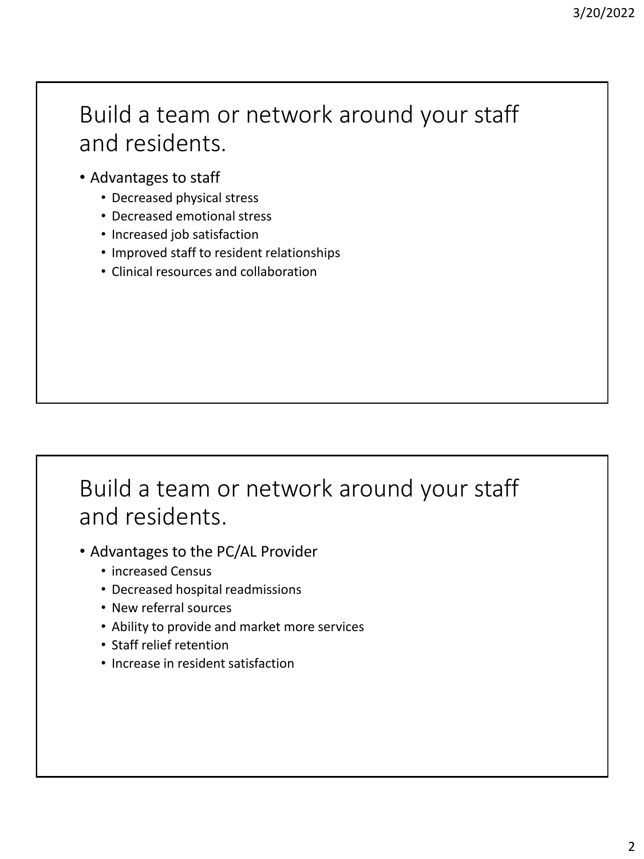### Build a team or network around your staff and residents.

- Advantages to staff
	- Decreased physical stress
	- Decreased emotional stress
	- Increased job satisfaction
	- Improved staff to resident relationships
	- Clinical resources and collaboration

## Build a team or network around your staff and residents.

- Advantages to the PC/AL Provider
	- increased Census
	- Decreased hospital readmissions
	- New referral sources
	- Ability to provide and market more services
	- Staff relief retention
	- Increase in resident satisfaction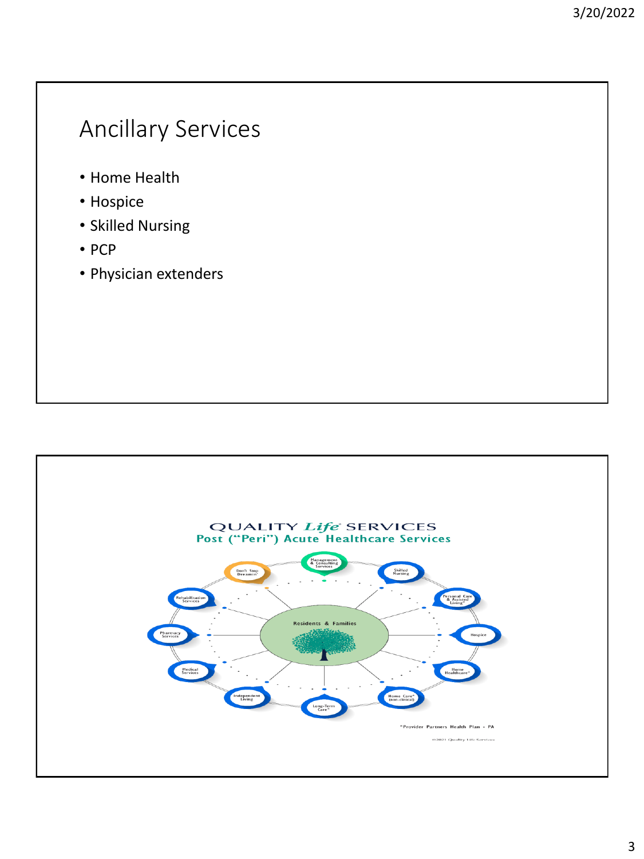## Ancillary Services

- Home Health
- Hospice
- Skilled Nursing
- PCP
- Physician extenders

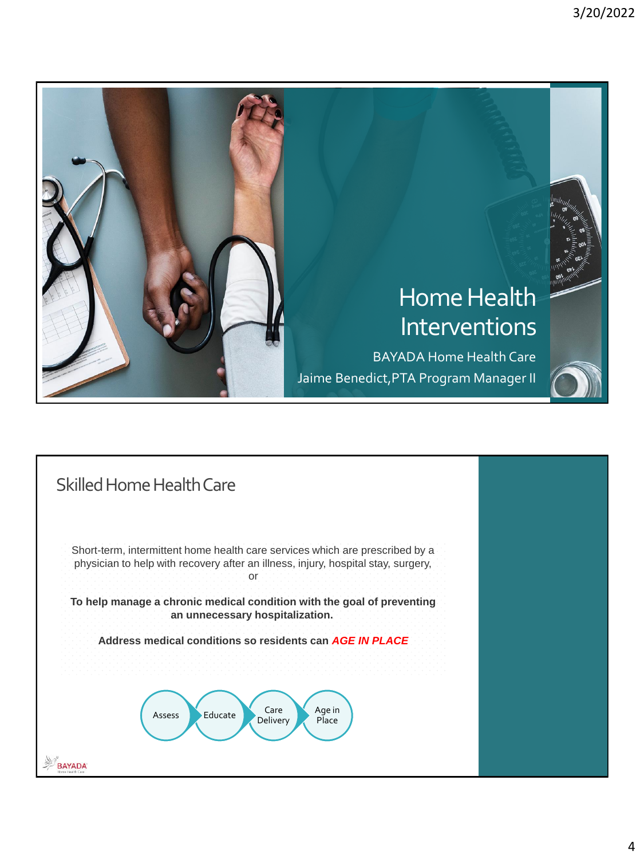

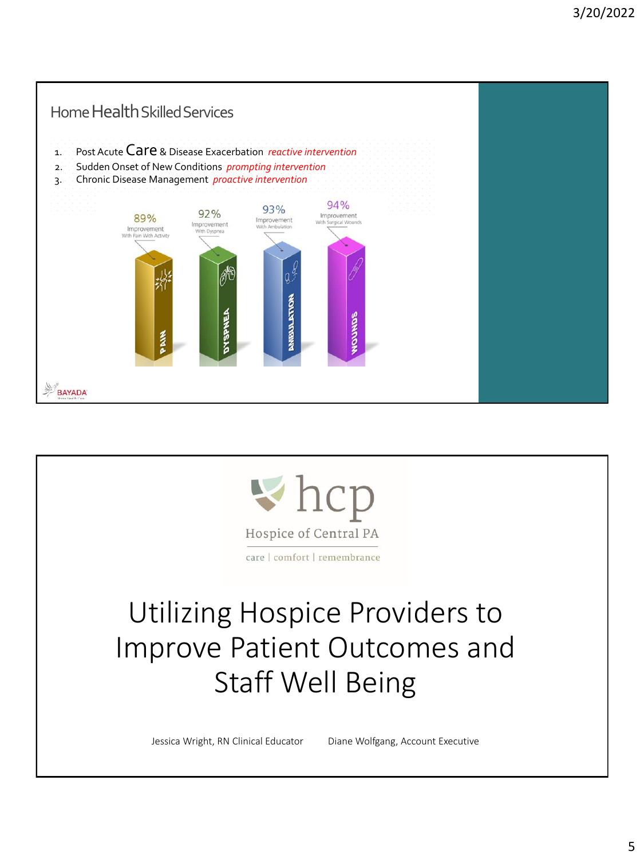

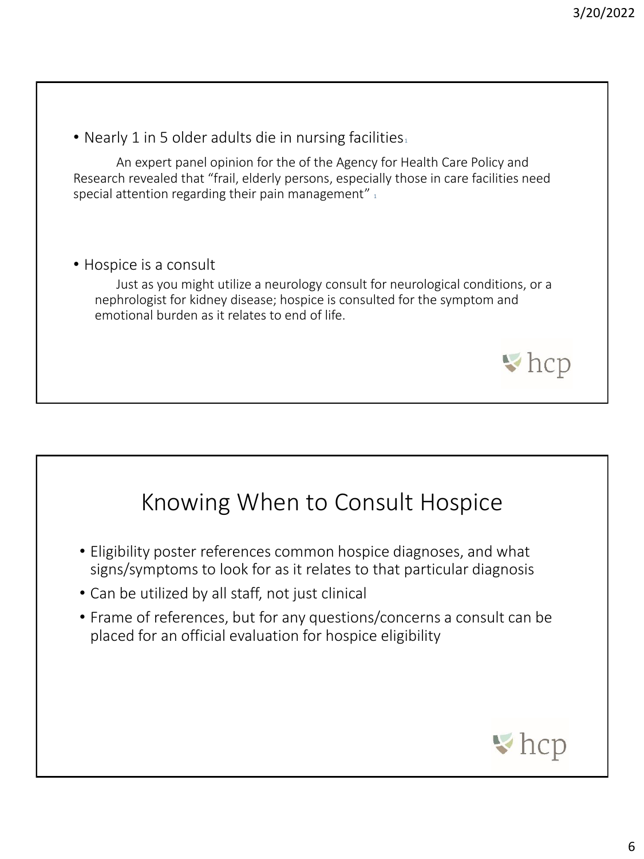• Nearly 1 in 5 older adults die in nursing facilities.

An expert panel opinion for the of the Agency for Health Care Policy and Research revealed that "frail, elderly persons, especially those in care facilities need special attention regarding their pain management"  $_1$ 

• Hospice is a consult

Just as you might utilize a neurology consult for neurological conditions, or a nephrologist for kidney disease; hospice is consulted for the symptom and emotional burden as it relates to end of life.



- Eligibility poster references common hospice diagnoses, and what signs/symptoms to look for as it relates to that particular diagnosis
- Can be utilized by all staff, not just clinical
- Frame of references, but for any questions/concerns a consult can be placed for an official evaluation for hospice eligibility



 $\blacktriangleright$  hcp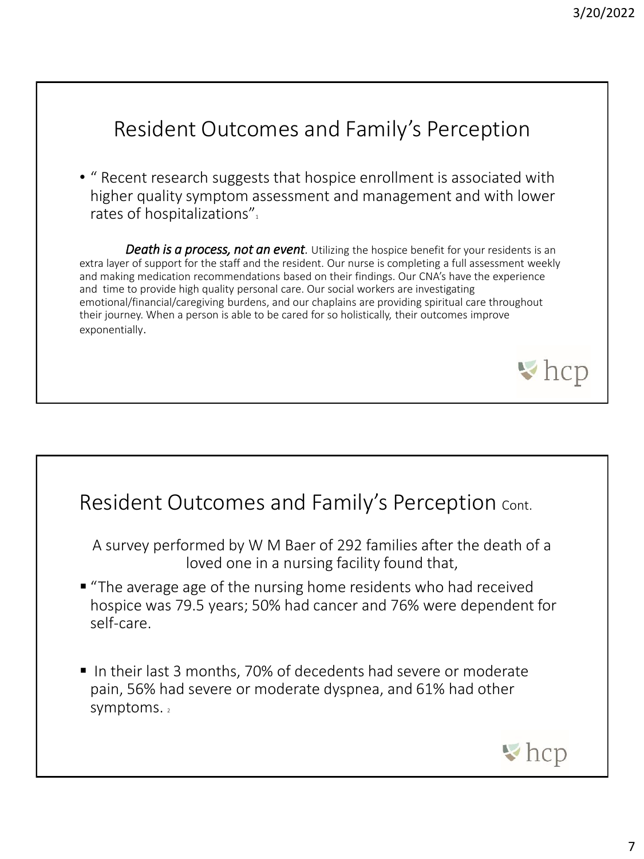#### Resident Outcomes and Family's Perception • " Recent research suggests that hospice enrollment is associated with higher quality symptom assessment and management and with lower rates of hospitalizations". *Death is a process, not an event.* Utilizing the hospice benefit for your residents is an extra layer of support for the staff and the resident. Our nurse is completing a full assessment weekly and making medication recommendations based on their findings. Our CNA's have the experience and time to provide high quality personal care. Our social workers are investigating emotional/financial/caregiving burdens, and our chaplains are providing spiritual care throughout their journey. When a person is able to be cared for so holistically, their outcomes improve exponentially.  $\blacktriangleright$  hcp

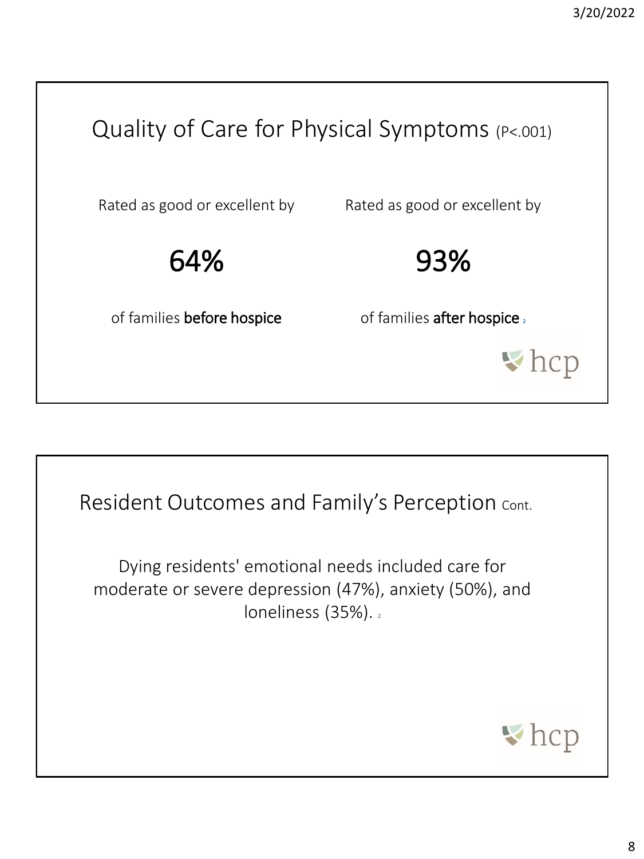



Dying residents' emotional needs included care for moderate or severe depression (47%), anxiety (50%), and loneliness (35%).

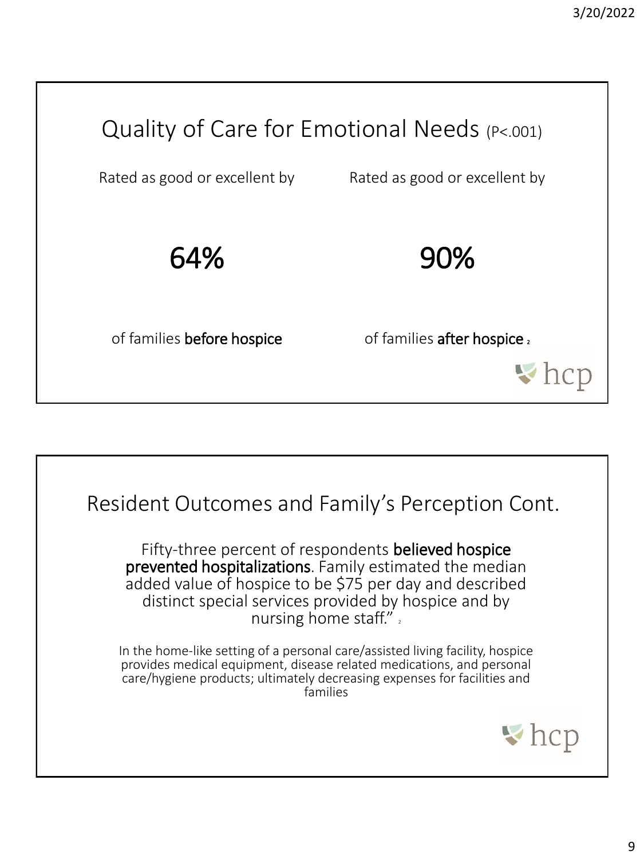

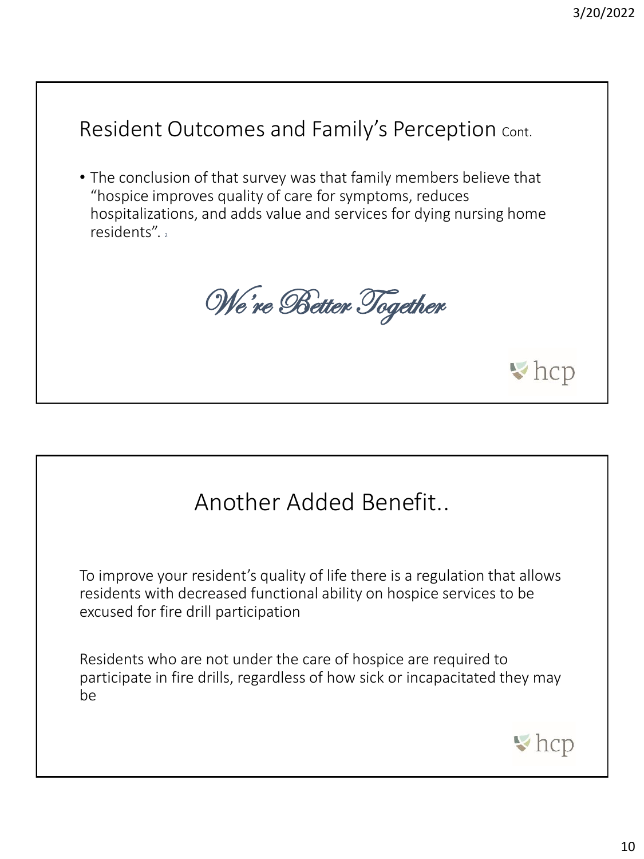#### Resident Outcomes and Family's Perception Cont.

• The conclusion of that survey was that family members believe that "hospice improves quality of care for symptoms, reduces hospitalizations, and adds value and services for dying nursing home residents"...

We're Better Together

#### Another Added Benefit..

To improve your resident's quality of life there is a regulation that allows residents with decreased functional ability on hospice services to be excused for fire drill participation

Residents who are not under the care of hospice are required to participate in fire drills, regardless of how sick or incapacitated they may be



 $\blacktriangleright$  hcp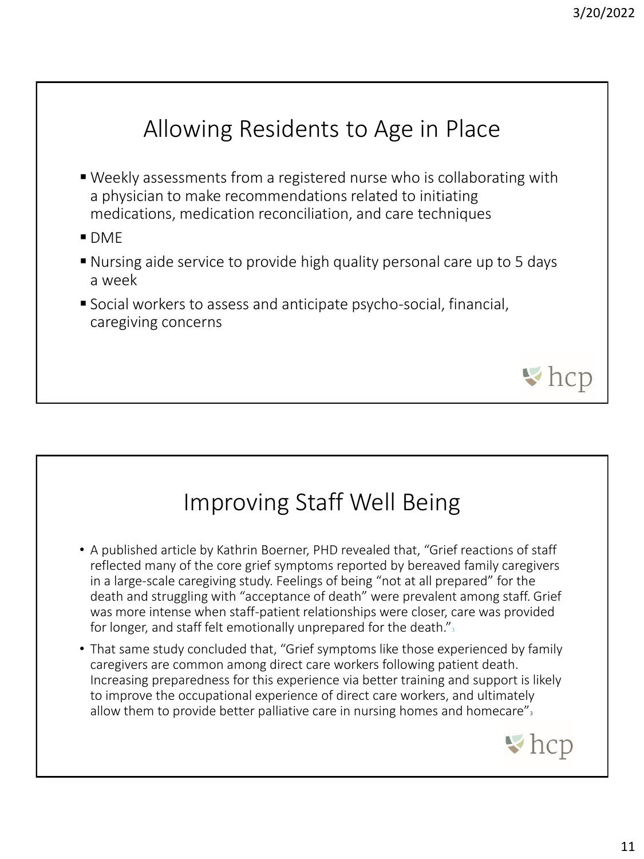## Allowing Residents to Age in Place

- Weekly assessments from a registered nurse who is collaborating with a physician to make recommendations related to initiating medications, medication reconciliation, and care techniques
- $\blacksquare$  DMF
- Nursing aide service to provide high quality personal care up to 5 days a week
- Social workers to assess and anticipate psycho-social, financial, caregiving concerns

## Improving Staff Well Being

- A published article by Kathrin Boerner, PHD revealed that, "Grief reactions of staff reflected many of the core grief symptoms reported by bereaved family caregivers in a large-scale caregiving study. Feelings of being "not at all prepared" for the death and struggling with "acceptance of death" were prevalent among staff. Grief was more intense when staff-patient relationships were closer, care was provided for longer, and staff felt emotionally unprepared for the death." $\frac{1}{3}$
- That same study concluded that, "Grief symptoms like those experienced by family caregivers are common among direct care workers following patient death. Increasing preparedness for this experience via better training and support is likely to improve the occupational experience of direct care workers, and ultimately allow them to provide better palliative care in nursing homes and homecare" $\frac{3}{2}$



 $\blacktriangleright$  hcp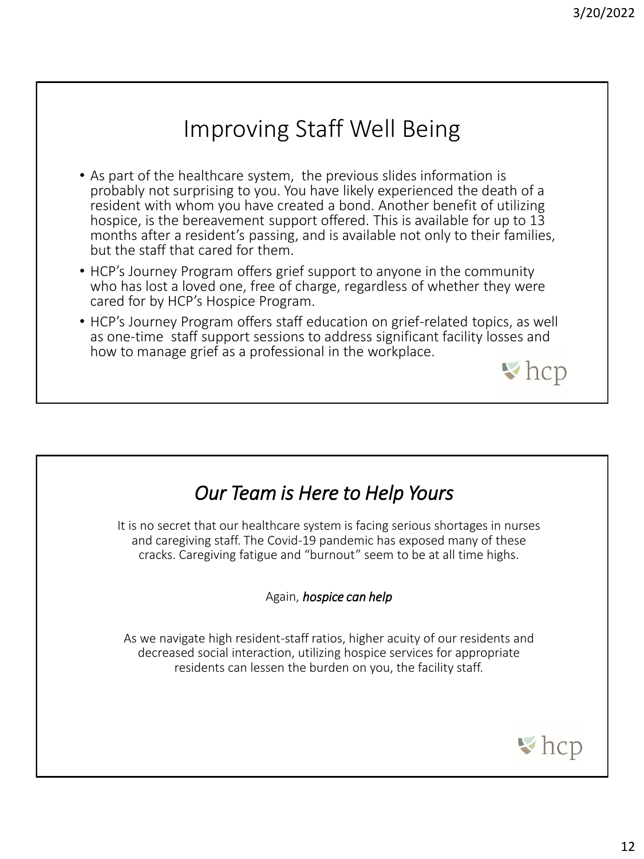## Improving Staff Well Being

- As part of the healthcare system, the previous slides information is probably not surprising to you. You have likely experienced the death of a resident with whom you have created a bond. Another benefit of utilizing hospice, is the bereavement support offered. This is available for up to 13 months after a resident's passing, and is available not only to their families, but the staff that cared for them.
- HCP's Journey Program offers grief support to anyone in the community who has lost a loved one, free of charge, regardless of whether they were cared for by HCP's Hospice Program.
- HCP's Journey Program offers staff education on grief-related topics, as well as one-time staff support sessions to address significant facility losses and how to manage grief as a professional in the workplace.